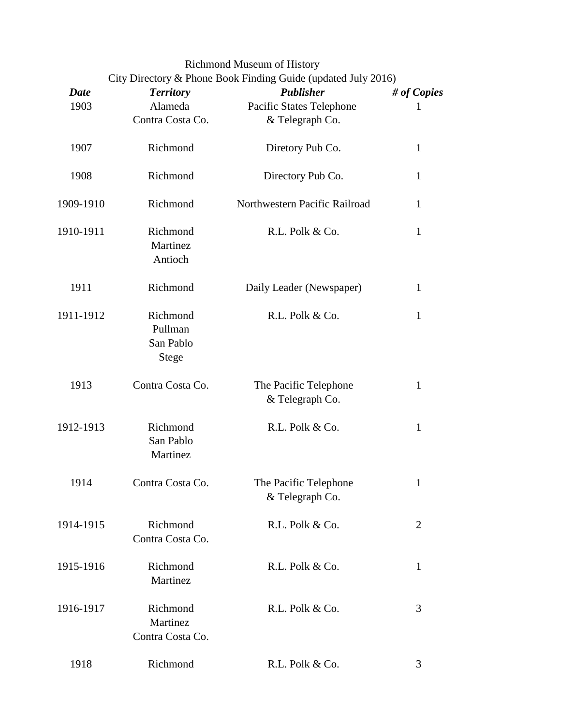Richmond Museum of History

| <b>Date</b> | <b>Territory</b>                          | City Directory & Phone Book Finding Guide (updated July 2016)<br><b>Publisher</b> | # of Copies    |
|-------------|-------------------------------------------|-----------------------------------------------------------------------------------|----------------|
| 1903        | Alameda                                   | <b>Pacific States Telephone</b>                                                   | 1              |
|             | Contra Costa Co.                          | & Telegraph Co.                                                                   |                |
| 1907        | Richmond                                  | Diretory Pub Co.                                                                  | $\mathbf{1}$   |
| 1908        | Richmond                                  | Directory Pub Co.                                                                 | $\mathbf{1}$   |
| 1909-1910   | Richmond                                  | Northwestern Pacific Railroad                                                     | $\mathbf{1}$   |
| 1910-1911   | Richmond<br>Martinez<br>Antioch           | R.L. Polk & Co.                                                                   | $\mathbf{1}$   |
| 1911        | Richmond                                  | Daily Leader (Newspaper)                                                          | 1              |
| 1911-1912   | Richmond<br>Pullman<br>San Pablo<br>Stege | R.L. Polk & Co.                                                                   | $\mathbf{1}$   |
| 1913        | Contra Costa Co.                          | The Pacific Telephone<br>& Telegraph Co.                                          | $\mathbf{1}$   |
| 1912-1913   | Richmond<br>San Pablo<br>Martinez         | R.L. Polk & Co.                                                                   | $\mathbf{1}$   |
| 1914        | Contra Costa Co.                          | The Pacific Telephone<br>& Telegraph Co.                                          | 1              |
| 1914-1915   | Richmond<br>Contra Costa Co.              | R.L. Polk & Co.                                                                   | $\overline{2}$ |
| 1915-1916   | Richmond<br>Martinez                      | R.L. Polk & Co.                                                                   | $\mathbf{1}$   |
| 1916-1917   | Richmond<br>Martinez<br>Contra Costa Co.  | R.L. Polk & Co.                                                                   | 3              |
| 1918        | Richmond                                  | R.L. Polk & Co.                                                                   | 3              |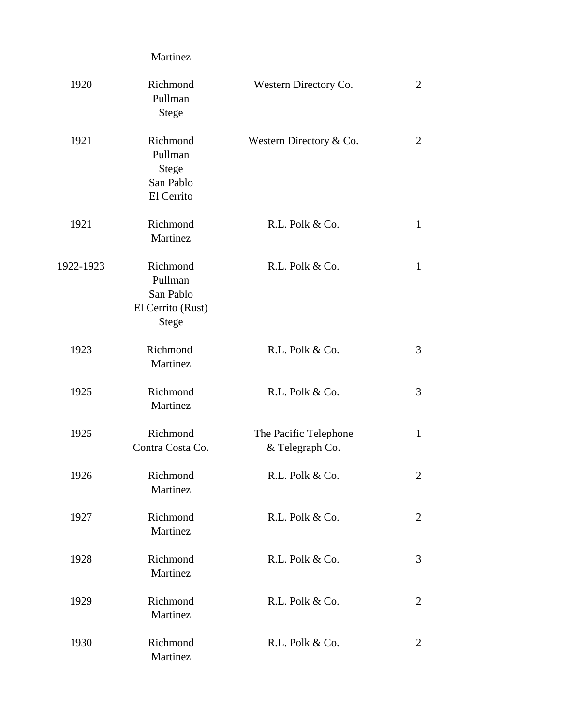|           | Martinez                                                              |                                          |                |
|-----------|-----------------------------------------------------------------------|------------------------------------------|----------------|
| 1920      | Richmond<br>Pullman<br><b>Stege</b>                                   | Western Directory Co.                    | $\overline{2}$ |
| 1921      | Richmond<br>Pullman<br>Stege<br>San Pablo<br>El Cerrito               | Western Directory & Co.                  | $\overline{2}$ |
| 1921      | Richmond<br>Martinez                                                  | R.L. Polk & Co.                          | $\mathbf{1}$   |
| 1922-1923 | Richmond<br>Pullman<br>San Pablo<br>El Cerrito (Rust)<br><b>Stege</b> | R.L. Polk & Co.                          | $\mathbf{1}$   |
| 1923      | Richmond<br>Martinez                                                  | R.L. Polk & Co.                          | 3              |
| 1925      | Richmond<br>Martinez                                                  | R.L. Polk & Co.                          | 3              |
| 1925      | Richmond<br>Contra Costa Co.                                          | The Pacific Telephone<br>& Telegraph Co. | 1              |
| 1926      | Richmond<br>Martinez                                                  | R.L. Polk & Co.                          | $\overline{2}$ |
| 1927      | Richmond<br>Martinez                                                  | R.L. Polk & Co.                          | $\overline{2}$ |
| 1928      | Richmond<br>Martinez                                                  | R.L. Polk & Co.                          | 3              |
| 1929      | Richmond<br>Martinez                                                  | R.L. Polk & Co.                          | $\overline{2}$ |
| 1930      | Richmond<br>Martinez                                                  | R.L. Polk & Co.                          | $\overline{2}$ |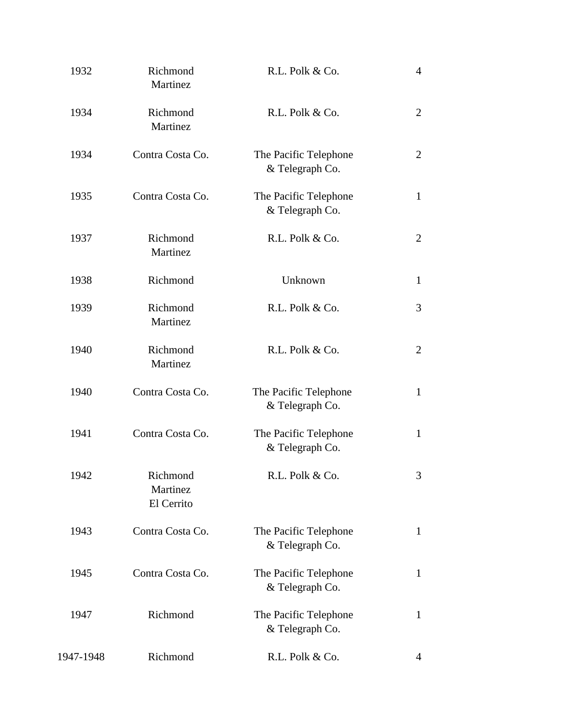| 1932      | Richmond<br>Martinez               | R.L. Polk & Co.                          | $\overline{4}$ |
|-----------|------------------------------------|------------------------------------------|----------------|
| 1934      | Richmond<br>Martinez               | R.L. Polk & Co.                          | $\overline{2}$ |
| 1934      | Contra Costa Co.                   | The Pacific Telephone<br>& Telegraph Co. | $\overline{2}$ |
| 1935      | Contra Costa Co.                   | The Pacific Telephone<br>& Telegraph Co. | $\mathbf{1}$   |
| 1937      | Richmond<br>Martinez               | R.L. Polk & Co.                          | $\overline{2}$ |
| 1938      | Richmond                           | Unknown                                  | $\mathbf{1}$   |
| 1939      | Richmond<br>Martinez               | R.L. Polk & Co.                          | 3              |
| 1940      | Richmond<br>Martinez               | R.L. Polk & Co.                          | $\overline{2}$ |
| 1940      | Contra Costa Co.                   | The Pacific Telephone<br>& Telegraph Co. | $\mathbf{1}$   |
| 1941      | Contra Costa Co.                   | The Pacific Telephone<br>& Telegraph Co. | $\mathbf{1}$   |
| 1942      | Richmond<br>Martinez<br>El Cerrito | R.L. Polk & Co.                          | 3              |
| 1943      | Contra Costa Co.                   | The Pacific Telephone<br>& Telegraph Co. | $\mathbf{1}$   |
| 1945      | Contra Costa Co.                   | The Pacific Telephone<br>& Telegraph Co. | $\mathbf{1}$   |
| 1947      | Richmond                           | The Pacific Telephone<br>& Telegraph Co. | $\mathbf{1}$   |
| 1947-1948 | Richmond                           | R.L. Polk & Co.                          | 4              |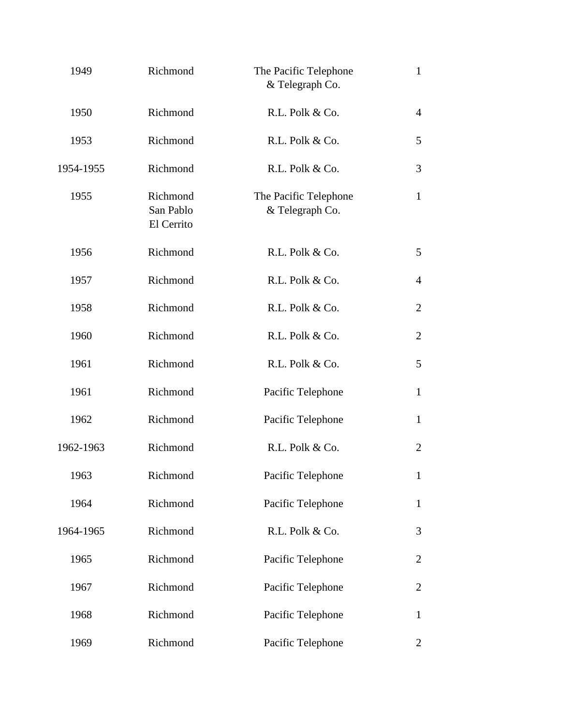| 1949      | Richmond                            | The Pacific Telephone<br>& Telegraph Co. | $\mathbf{1}$   |
|-----------|-------------------------------------|------------------------------------------|----------------|
| 1950      | Richmond                            | R.L. Polk & Co.                          | $\overline{4}$ |
| 1953      | Richmond                            | R.L. Polk & Co.                          | 5              |
| 1954-1955 | Richmond                            | R.L. Polk & Co.                          | 3              |
| 1955      | Richmond<br>San Pablo<br>El Cerrito | The Pacific Telephone<br>& Telegraph Co. | $\mathbf{1}$   |
| 1956      | Richmond                            | R.L. Polk & Co.                          | 5              |
| 1957      | Richmond                            | R.L. Polk & Co.                          | $\overline{4}$ |
| 1958      | Richmond                            | R.L. Polk & Co.                          | 2              |
| 1960      | Richmond                            | R.L. Polk & Co.                          | $\overline{2}$ |
| 1961      | Richmond                            | R.L. Polk & Co.                          | 5              |
| 1961      | Richmond                            | Pacific Telephone                        | $\mathbf{1}$   |
| 1962      | Richmond                            | Pacific Telephone                        | $\mathbf{1}$   |
| 1962-1963 | Richmond                            | R.L. Polk & Co.                          | $\overline{2}$ |
| 1963      | Richmond                            | Pacific Telephone                        | 1              |
| 1964      | Richmond                            | Pacific Telephone                        | $\mathbf{1}$   |
| 1964-1965 | Richmond                            | R.L. Polk & Co.                          | 3              |
| 1965      | Richmond                            | Pacific Telephone                        | $\overline{2}$ |
| 1967      | Richmond                            | Pacific Telephone                        | $\overline{2}$ |
| 1968      | Richmond                            | Pacific Telephone                        | $\mathbf{1}$   |
| 1969      | Richmond                            | Pacific Telephone                        | 2              |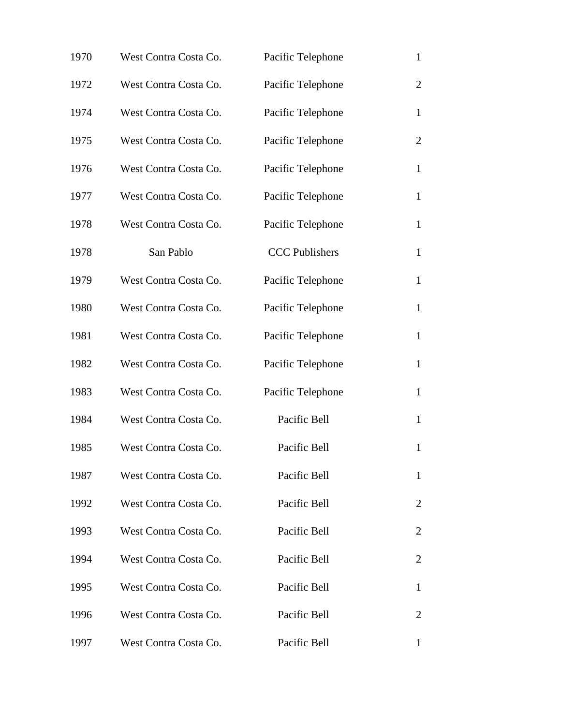| 1970 | West Contra Costa Co. | Pacific Telephone     | $\mathbf{1}$   |
|------|-----------------------|-----------------------|----------------|
| 1972 | West Contra Costa Co. | Pacific Telephone     | $\overline{2}$ |
| 1974 | West Contra Costa Co. | Pacific Telephone     | $\mathbf{1}$   |
| 1975 | West Contra Costa Co. | Pacific Telephone     | $\overline{2}$ |
| 1976 | West Contra Costa Co. | Pacific Telephone     | $\mathbf{1}$   |
| 1977 | West Contra Costa Co. | Pacific Telephone     | $\mathbf{1}$   |
| 1978 | West Contra Costa Co. | Pacific Telephone     | $\mathbf{1}$   |
| 1978 | San Pablo             | <b>CCC Publishers</b> | $\mathbf{1}$   |
| 1979 | West Contra Costa Co. | Pacific Telephone     | $\mathbf{1}$   |
| 1980 | West Contra Costa Co. | Pacific Telephone     | $\mathbf{1}$   |
| 1981 | West Contra Costa Co. | Pacific Telephone     | $\mathbf{1}$   |
| 1982 | West Contra Costa Co. | Pacific Telephone     | $\mathbf{1}$   |
| 1983 | West Contra Costa Co. | Pacific Telephone     | $\mathbf{1}$   |
| 1984 | West Contra Costa Co. | Pacific Bell          | $\mathbf{1}$   |
| 1985 | West Contra Costa Co. | Pacific Bell          | $\mathbf{1}$   |
| 1987 | West Contra Costa Co. | Pacific Bell          | $\mathbf{1}$   |
| 1992 | West Contra Costa Co. | Pacific Bell          | $\overline{2}$ |
| 1993 | West Contra Costa Co. | Pacific Bell          | 2              |
| 1994 | West Contra Costa Co. | Pacific Bell          | $\overline{2}$ |
| 1995 | West Contra Costa Co. | Pacific Bell          | 1              |
| 1996 | West Contra Costa Co. | Pacific Bell          | $\overline{2}$ |
| 1997 | West Contra Costa Co. | Pacific Bell          | 1              |